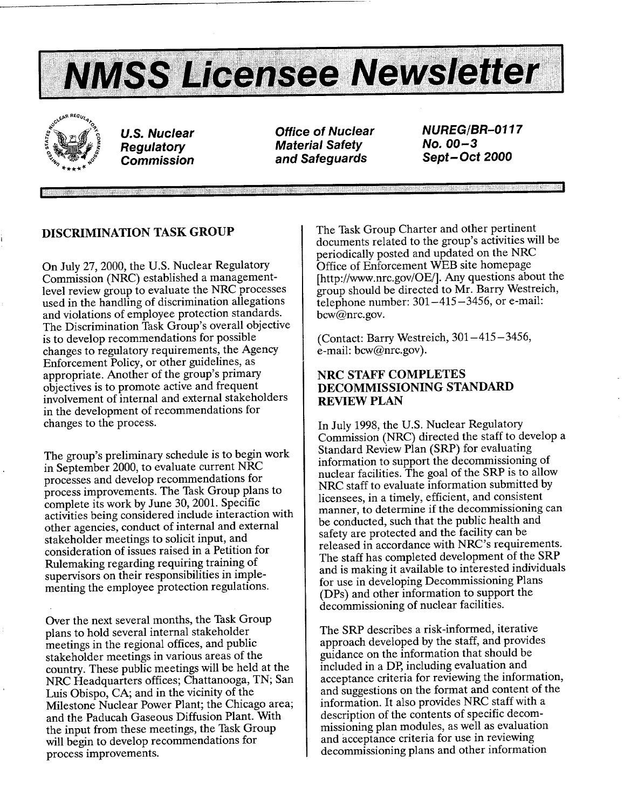



*Regulatory Material Safety* No. **00-3**  and Safeguards **Safeguards** 

**U.S.** Nuclear Office of *Nuclear NUREG/BR-0117* 

# **DISCRIMINATION** TASK GROUP

On July 27, 2000, the **U.S.** Nuclear Regulatory Commission (NRC) established a management level review group to evaluate the NRC processes used in the handling of discrimination allegations and violations of employee protection standards. The Discrimination Task Group's overall objective is to develop recommendations for possible changes to regulatory requirements, the Agency Enforcement Policy, or other guidelines, as appropriate. Another of the group's primary objectives is to promote active and frequent involvement of internal and external stakeholders in the development of recommendations for changes to the process.

The group's preliminary schedule is to begin work in September 2000, to evaluate current NRC processes and develop recommendations for process improvements. The Task Group plans to complete its work by June 30, 2001. Specific activities being considered include interaction with other agencies, conduct of internal and external stakeholder meetings to solicit input, and consideration of issues raised in a Petition for Rulemaking regarding requiring training of supervisors on their responsibilities in imple menting the employee protection regulations.

Over the next several months, the Task Group plans to hold several internal stakeholder meetings in the regional offices, and public stakeholder meetings in various areas of the country. These public meetings will be held at the NRC Headquarters offices; Chattanooga, TN; San Luis Obispo, CA; and in the vicinity of the Milestone Nuclear Power Plant; the Chicago area; and the Paducah Gaseous Diffusion Plant. With the input from these meetings, the Task Group will begin to develop recommendations for process improvements.

The Task Group Charter and other pertinent documents related to the group's activities will be periodically posted and updated on the NRC Office of Enforcement WEB site homepage [http://www.nrc.gov/OE/]. Any questions about the group should be directed to Mr. Barry Westreich, telephone number:  $301-415-3456$ , or e-mail: bcw@nrc.gov.

(Contact: Barry Westreich, 301-415-3456, e-mail: bcw@nrc.gov).

# NRC STAFF **COMPLETES DECOMMISSIONING STANDARD**  REVIEW **PLAN**

In July 1998, the U.S. Nuclear Regulatory Commission (NRC) directed the staff to develop a Standard Review Plan (SRP) for evaluating information to support the decommissioning of nuclear facilities. The goal of the SRP is to allow NRC staff to evaluate information submitted by licensees, in a timely, efficient, and consistent manner, to determine if the decommissioning can be conducted, such that the public health and safety are protected and the facility can be released in accordance with NRC's requirements. The staff has completed development of the SRP and is making it available to interested individuals for use in developing Decommissioning Plans (DPs) and other information to support the decommissioning of nuclear facilities.

The SRP describes a risk-informed, iterative approach developed by the staff, and provides guidance on the information that should be included in a DP, including evaluation and acceptance criteria for reviewing the information, and suggestions on the format and content of the information. It also provides NRC staff with a description of the contents of specific decom missioning plan modules, as well as evaluation and acceptance criteria for use in reviewing decommissioning plans and other information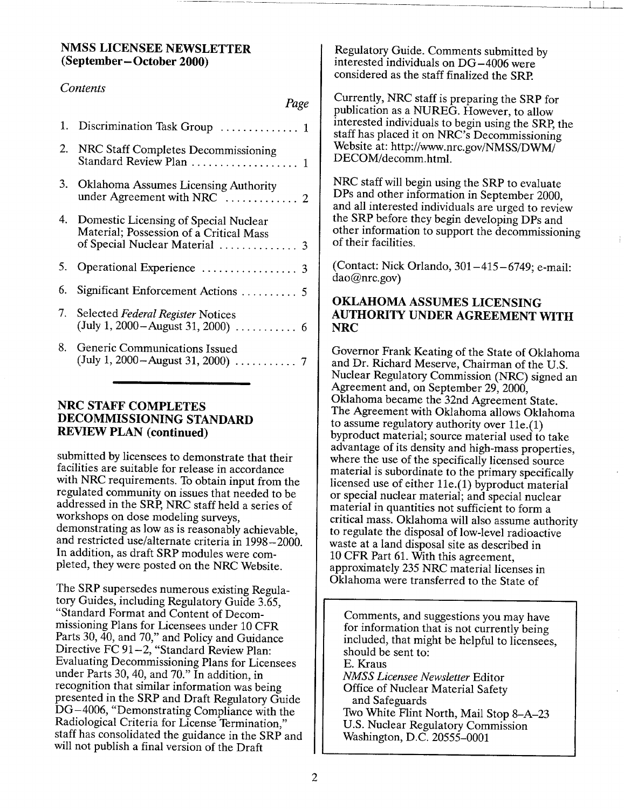## **NMSS LICENSEE** NEWSLETTER (September- October 2000)

## *Contents*

| Page                                                                                                                  |
|-----------------------------------------------------------------------------------------------------------------------|
| 1. Discrimination Task Group  1                                                                                       |
| 2. NRC Staff Completes Decommissioning<br>Standard Review Plan  1                                                     |
| 3. Oklahoma Assumes Licensing Authority                                                                               |
| 4. Domestic Licensing of Special Nuclear<br>Material; Possession of a Critical Mass<br>of Special Nuclear Material  3 |
|                                                                                                                       |
| 6. Significant Enforcement Actions  5                                                                                 |
| 7. Selected Federal Register Notices                                                                                  |
| 8. Generic Communications Issued                                                                                      |
|                                                                                                                       |

## NRC **STAFF COMPLETES DECOMMISSIONING STANDARD**  REVIEW **PLAN** (continued)

submitted by licensees to demonstrate that their facilities are suitable for release in accordance with NRC requirements. To obtain input from the regulated community on issues that needed to be addressed in the SRP, NRC staff held a series of workshops on dose modeling surveys, demonstrating as low as is reasonably achievable, and restricted use/alternate criteria in 1998-2000. In addition, as draft SRP modules were com pleted, they were posted on the NRC Website.

The SRP supersedes numerous existing Regula tory Guides, including Regulatory Guide 3.65, "Standard Format and Content of Decom missioning Plans for Licensees under 10 CFR Parts 30, 40, and 70," and Policy and Guidance Directive FC 91-2, "Standard Review Plan: Evaluating Decommissioning Plans for Licensees under Parts 30, 40, and 70." In addition, in recognition that similar information was being presented in the SRP and Draft Regulatory Guide DG-4006, "Demonstrating Compliance with the Radiological Criteria for License Termination," staff has consolidated the guidance in the SRP and will not publish a final version of the Draft

Regulatory Guide. Comments submitted by interested individuals on DG-4006 were considered as the staff finalized the SRP.

Currently, NRC staff is preparing the SRP for publication as a NUREG. However, to allow interested individuals to begin using the SRP, the staff has placed it on NRC's Decommissioning Website at: http://www.nrc.gov/NMSS/DWM/ DECOM/decomm.html.

NRC staff will begin using the SRP to evaluate<br>DPs and other information in September 2000, and all interested individuals are urged to review the SRP before they begin developing DPs and other information to support the decommissioning of their facilities.

(Contact: Nick Orlando, 301-415-6749; e-mail: dao@nrc.gov)

# OKLAHOMA **ASSUMES LICENSING**  AUTHORITY **UNDER AGREEMENT** WITH NRC

Governor Frank Keating of the State of Oklahoma and Dr. Richard Meserve, Chairman of the U.S. Nuclear Regulatory Commission (NRC) signed an Agreement and, on September 29, 2000, Oklahoma became the 32nd Agreement State. The Agreement with Oklahoma allows Oklahoma to assume regulatory authority over 11e.(1) byproduct material; source material used to take advantage of its density and high-mass properties, where the use of the specifically licensed source material is subordinate to the primary specifically licensed use of either 11e.(1) byproduct material or special nuclear material; and special nuclear material in quantities not sufficient to form a critical mass. Oklahoma will also assume authority to regulate the disposal of low-level radioactive waste at a land disposal site as described in<br>10 CFR Part 61. With this agreement, approximately 235 NRC material licenses in Oklahoma were transferred to the State of

Comments, and suggestions you may have for information that is not currently being included, that might be helpful to licensees, should be sent to: E. Kraus *NMSS Licensee Newsletter* Editor Office of Nuclear Material Safety and Safeguards Two White Flint North, Mail Stop 8-A-23 U.S. Nuclear Regulatory Commission Washington, D.C. 20555-0001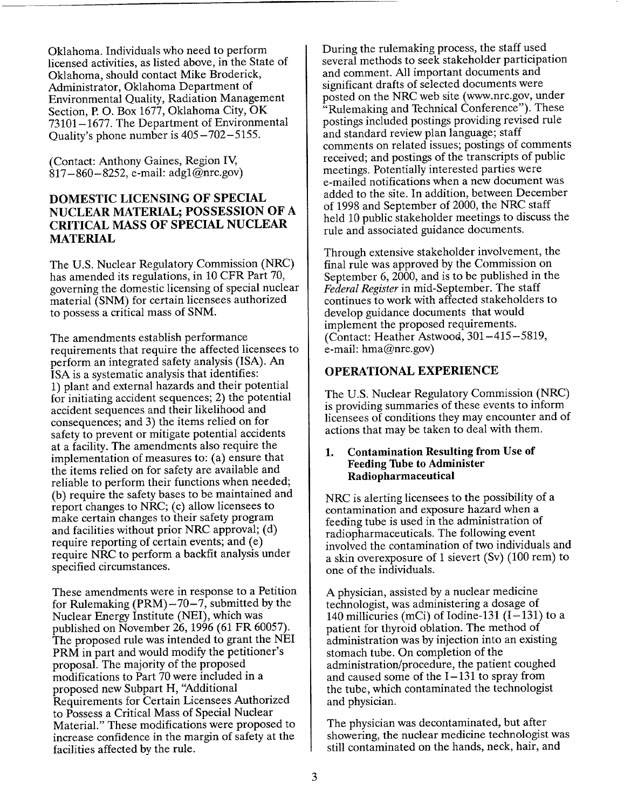Oklahoma. Individuals who need to perform licensed activities, as listed above, in the State of Oklahoma, should contact Mike Broderick, Administrator, Oklahoma Department of Environmental Quality, Radiation Management Section, P. **0.** Box 1677, Oklahoma City, OK 73101-1677. The Department of Environmental Quality's phone number is 405-702-5155.

(Contact: Anthony Gaines, Region IV,  $817-860-8252$ , e-mail:  $adg1@nrc.gov$ )

## **DOMESTIC LICENSING** OF **SPECIAL NUCLEAR** MATERIAL; **POSSESSION** OF **A**  CRITICAL **MASS** OF **SPECIAL NUCLEAR MATERIAL**

The U.S. Nuclear Regulatory Commission (NRC) has amended its regulations, in 10 CFR Part 70, governing the domestic licensing of special nuclear material (SNM) for certain licensees authorized to possess a critical mass of SNM.

The amendments establish performance requirements that require the affected licensees to perform an integrated safety analysis (ISA). An ISA is a systematic analysis that identifies: 1) plant and external hazards and their potential for initiating accident sequences; 2) the potential accident sequences and their likelihood and consequences; and 3) the items relied on for safety to prevent or mitigate potential accidents at a facility. The amendments also require the implementation of measures to: (a) ensure that the items relied on for safety are available and reliable to perform their functions when needed; (b) require the safety bases to be maintained and report changes to NRC; (c) allow licensees to make certain changes to their safety program and facilities without prior NRC approval; (d) require reporting of certain events; and (e) require NRC to perform a backfit analysis under specified circumstances.

These amendments were in response to a Petition for Rulemaking  $(PRM) -70 -7$ , submitted by the Nuclear Energy Institute (NEI), which was published on November 26, 1996 (61 FR 60057). The proposed rule was intended to grant the NEI PRM in part and would modify the petitioner's proposal. The majority of the proposed modifications to Part 70 were included in a proposed new Subpart H, 'Additional Requirements for Certain Licensees Authorized to Possess a Critical Mass of Special Nuclear Material." These modifications were proposed to increase confidence in the margin of safety at the facilities affected by the rule.

During the rulemaking process, the staff used several methods to seek stakeholder participation and comment. All important documents and significant drafts of selected documents were posted on the NRC web site (www.nrc.gov, under "Rulemaking and Technical Conference"). These postings included postings providing revised rule and standard review plan language; staff comments on related issues; postings of comments received; and postings of the transcripts of public meetings. Potentially interested parties were e-mailed notifications when a new document was added to the site. In addition, between December of 1998 and September of 2000, the NRC staff held 10 public stakeholder meetings to discuss the rule and associated guidance documents.

Through extensive stakeholder involvement, the final rule was approved by the Commission on September 6, 2000, and is to be published in the *Federal Register* in mid-September. The staff continues to work with affected stakeholders to develop guidance documents that would implement the proposed requirements. (Contact: Heather Astwood, 301-415-5819, e-mail: hma@nrc.gov)

## OPERATIONAL **EXPERIENCE**

The U.S. Nuclear Regulatory Commission (NRC) is providing summaries of these events to inform licensees of conditions they may encounter and of actions that may be taken to deal with them.

#### **1.** Contamination Resulting from Use of Feeding **Tube** to Administer Radiopharmaceutical

NRC is alerting licensees to the possibility of a contamination and exposure hazard when a feeding tube is used in the administration of radiopharmaceuticals. The following event involved the contamination of two individuals and a skin overexposure of 1 sievert (Sv) (100 rem) to one of the individuals.

A physician, assisted by a nuclear medicine technologist, was administering a dosage of 140 millicuries (mCi) of Iodine-131  $(I-131)$  to a patient for thyroid oblation. The method of administration was by injection into an existing stomach tube. On completion of the administration/procedure, the patient coughed and caused some of the  $I-131$  to spray from the tube, which contaminated the technologist and physician.

The physician was decontaminated, but after showering, the nuclear medicine technologist was still contaminated on the hands, neck, hair, and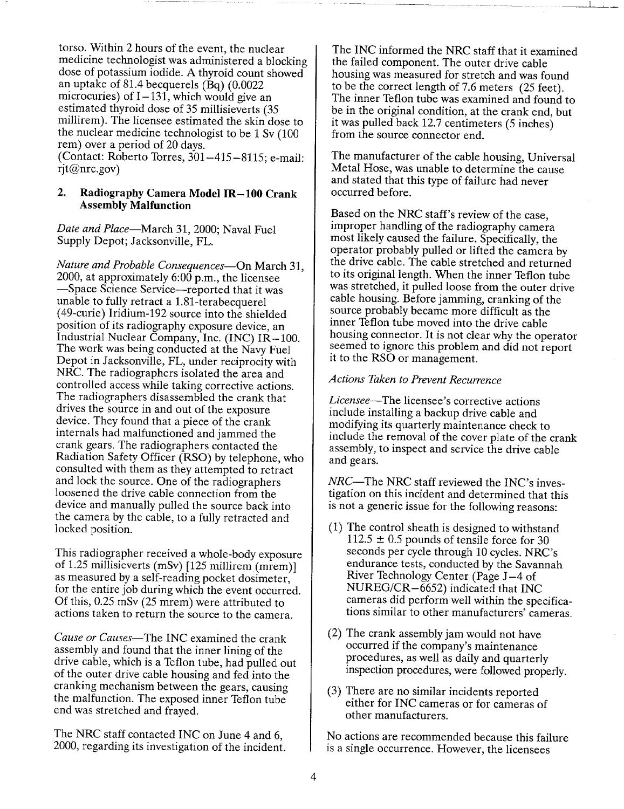torso. Within 2 hours of the event, the nuclear dose of potassium iodide. A thyroid count showed an uptake of 81.4 becquerels (Bq) (0.0022 microcuries) of  $I-131$ , which would give an estimated thyroid dose of 35 millisieverts (35 millirem). The licensee estimated the skin dose to the nuclear medicine technologist to be 1 Sv (100 rem) over a period of 20 days. (Contact: Roberto Torres, 301-415-8115; e-mail: rjt@nrc.gov)

## 2. Radiography Camera Model IR-100 Crank Assembly Malfunction

*Date and Place-March* 31, 2000; Naval Fuel Supply Depot; Jacksonville, FL.

*Nature and Probable Consequences-On* March 31, 2000, at approximately 6:00 p.m., the licensee -Space Science Service-reported that it was unable to fully retract a 1.81-terabecquerel (49-curie) Iridium-192 source into the shielded position of its radiography exposure device, an Industrial Nuclear Company, Inc. (INC) IR-100. The work was being conducted at the Navy Fuel Depot in Jacksonville, FL, under reciprocity with NRC. The radiographers isolated the area and controlled access while taking corrective actions. The radiographers disassembled the crank that drives the source in and out of the exposure device. They found that a piece of the crank internals had malfunctioned and jammed the crank gears. The radiographers contacted the Radiation Safety Officer (RSO) by telephone, who consulted with them as they attempted to retract and lock the source. One of the radiographers loosened the drive cable connection from the device and manually pulled the source back into the camera by the cable, to a fully retracted and locked position.

This radiographer received a whole-body exposure of 1.25 millisieverts (mSv) [125 millirem (mrem)] as measured by a self-reading pocket dosimeter, for the entire job during which the event occurred. Of this, 0.25 mSv (25 mrem) were attributed to actions taken to return the source to the camera.

*Cause or Causes-The* INC examined the crank assembly and found that the inner lining of the drive cable, which is a Teflon tube, had pulled out of the outer drive cable housing and fed into the cranking mechanism between the gears, causing the malfunction. The exposed inner Teflon tube end was stretched and frayed.

The NRC staff contacted INC on June 4 and 6, 2000, regarding its investigation of the incident.

The INC informed the NRC staff that it examined the failed component. The outer drive cable housing was measured for stretch and was found to be the correct length of 7.6 meters (25 feet). The inner Teflon tube was examined and found to be in the original condition, at the crank end, but it was pulled back 12.7 centimeters (5 inches) from the source connector end.

The manufacturer of the cable housing, Universal Metal Hose, was unable to determine the cause and stated that this type of failure had never occurred before.

Based on the NRC staff's review of the case, improper handling of the radiography camera most likely caused the failure. Specifically, the operator probably pulled or lifted the camera by the drive cable. The cable stretched and returned to its original length. When the inner Teflon tube was stretched, it pulled loose from the outer drive cable housing. Before jamming, cranking of the source probably became more difficult as the inner Teflon tube moved into the drive cable<br>housing connector. It is not clear why the operator seemed to ignore this problem and did not report it to the RSO or management.

## *Actions Taken to Prevent Recurrence*

*Licensee-The* licensee's corrective actions include installing a backup drive cable and modifying its quarterly maintenance check to include the removal of the cover plate of the crank assembly, to inspect and service the drive cable and gears.

NRC-The NRC staff reviewed the INC's investigation on this incident and determined that this is not a generic issue for the following reasons:

- (1) The control sheath is designed to withstand  $112.5 \pm 0.5$  pounds of tensile force for 30 seconds per cycle through 10 cycles. NRC's endurance tests, conducted by the Savannah River Technology Center (Page J-4 of NUREG/CR-6652) indicated that INC cameras did perform well within the specifica tions similar to other manufacturers' cameras.
- (2) The crank assembly jam would not have occurred if the company's maintenance procedures, as well as daily and quarterly inspection procedures, were followed properly.
- (3) There are no similar incidents reported either for INC cameras or for cameras of other manufacturers.

No actions are recommended because this failure is a single occurrence. However, the licensees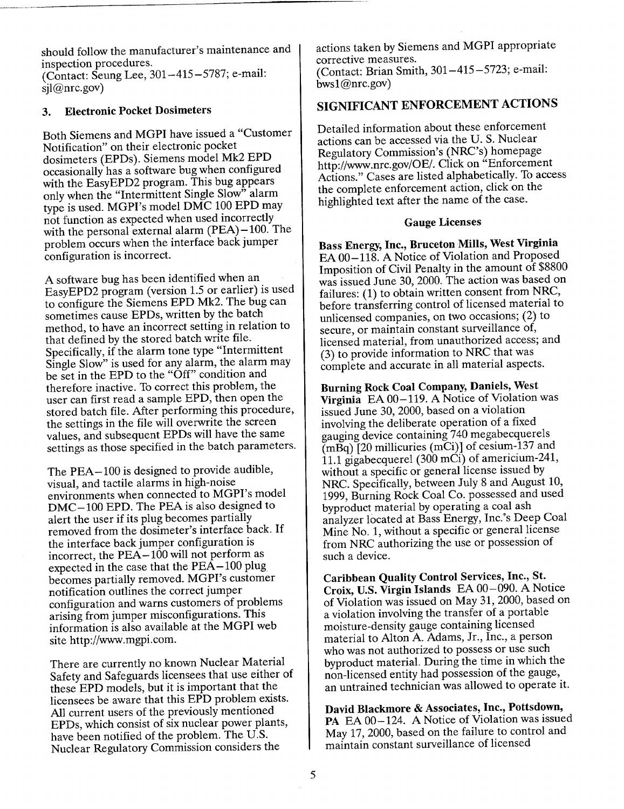should follow the manufacturer's maintenance and inspection procedures.

(Contact: Seung Lee, 301-415-5787; e-mail:  $sil@nrc.gov)$ 

## **3.** Electronic Pocket Dosimeters

Both Siemens and MGPI have issued a "Customer Notification" on their electronic pocket dosimeters (EPDs). Siemens model Mk2 EPD occasionally has a software bug when configured with the EasyEPD2 program. This bug appears only when the "Intermittent Single Slow" alarm type is used. MGPI's model DMC 100 EPD may not function as expected when used incorrectly with the personal external alarm (PEA)-100. The problem occurs when the interface back jumper configuration is incorrect.

A software bug has been identified when an EasyEPD2 program (version 1.5 or earlier) is used to configure the Siemens EPD Mk2. The bug can sometimes cause EPDs, written by the batch method, to have an incorrect setting in relation to that defined by the stored batch write file. Specifically, if the alarm tone type "Intermittent Single Slow" is used for any alarm, the alarm may be set in the EPD to the "Off" condition and therefore inactive. To correct this problem, the user can first read a sample EPD, then open the stored batch file. After performing this procedure, the settings in the file will overwrite the screen values, and subsequent EPDs will have the same settings as those specified in the batch parameters.

The **PEA-100** is designed to provide audible, visual, and tactile alarms in high-noise environments when connected to MGPI's model **DMC-** 100 EPD. The PEA is also designed to alert the user if its plug becomes partially removed from the dosimeter's interface back. If the interface back jumper configuration is incorrect, the PEA-100 will not perform as expected in the case that the **PEA-100** plug becomes partially removed. MGPI's customer notification outlines the correct jumper configuration and warns customers of problems arising from jumper misconfigurations. This information is also available at the MGPI web site http://www.mgpi.com.

There are currently no known Nuclear Material Safety and Safeguards licensees that use either of these EPD models, but it is important that the licensees be aware that this EPD problem exists. All current users of the previously mentioned EPDs, which consist of six nuclear power plants, have been notified of the problem. The U.S. Nuclear Regulatory Commission considers the

actions taken by Siemens and MGPI appropriate corrective measures. (Contact: Brian Smith, 301-415-5723; e-mail:

SIGNIFICANT ENFORCEMENT ACTIONS

 $bws1@nrc.gov$ 

Detailed information about these enforcement actions can be accessed via the U. S. Nuclear Regulatory Commission's (NRC's) homepage http://www.nrc.gov/OE/. Click on "Enforcement Actions." Cases are listed alphabetically. To access the complete enforcement action, click on the highlighted text after the name of the case.

#### Gauge Licenses

Bass Energy, Inc., Bruceton Mills, West Virginia **EA** 00-118. A Notice of Violation and Proposed Imposition of Civil Penalty in the amount of \$8800 was issued June 30, 2000. The action was based on failures: (1) to obtain written consent from NRC, before transferring control of licensed material to unlicensed companies, on two occasions; (2) to secure, or maintain constant surveillance of, licensed material, from unauthorized access; and (3) to provide information to NRC that was complete and accurate in all material aspects.

Burning Rock Coal Company, Daniels, West Virginia **EA** 00-119. A Notice of Violation was issued June 30, 2000, based on a violation involving the deliberate operation of a fixed gauging device containing 740 megabecquerels  $(m\bar{B}q)$  [20 millicuries  $(m\bar{C}i)$ ] of cesium-137 and 11.1 gigabecquerel  $(300 \text{ mCi})$  of americium-241, without a specific or general license issued by NRC. Specifically, between July 8 and August 10, 1999, Burning Rock Coal Co. possessed and used byproduct material by operating a coal ash analyzer located at Bass Energy, Inc.'s Deep Coal Mine No. 1, without a specific or general license from NRC authorizing the use or possession of such a device.

Caribbean Quality Control Services, Inc., St. Croix, U.S. Virgin Islands **EA** 00-090. A Notice of Violation was issued on May 31, 2000, based on a violation involving the transfer of a portable moisture-density gauge containing licensed material to Alton A. Adams, Jr., Inc., a person who was not authorized to possess or use such byproduct material. During the time in which the non-licensed entity had possession of the gauge, an untrained technician was allowed to operate it.

David Blackmore **&** Associates, Inc., Pottsdown, PA **EA 00-124. A** Notice of Violation was issued May 17, 2000, based on the failure to control and maintain constant surveillance of licensed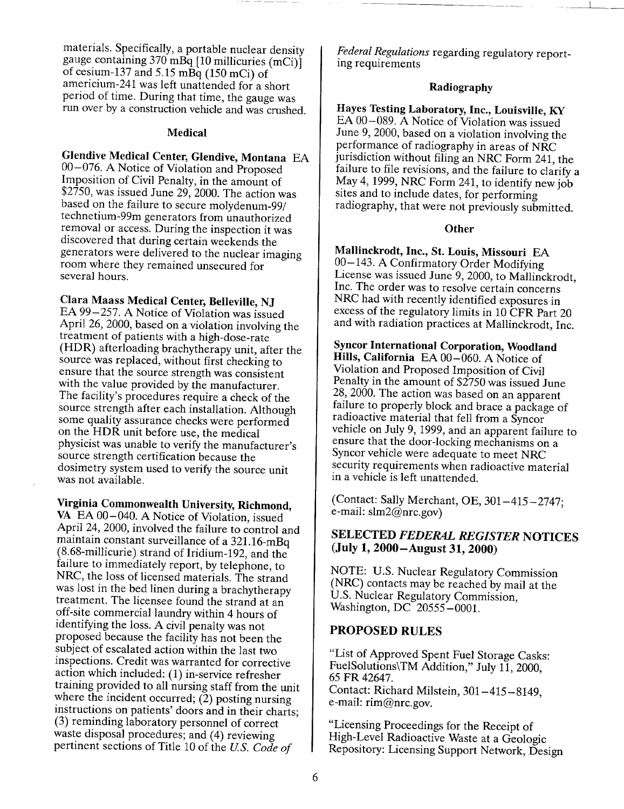materials. Specifically, a portable nuclear density gauge containing 370 mBq [10 millicuries (mCi)] of cesium-137 and 5.15 mBq (150 mCi) of americium-241 was left unattended for a short period of time. During that time, the gauge was run over by a construction vehicle and was crushed.

#### Medical

# Glendive Medical Center, Glendive, Montana EA

00-076. A Notice of Violation and Proposed Imposition of Civil Penalty, in the amount of \$2750, was issued June 29, 2000. The action was based on the failure to secure molydenum-99/ technetium-99m generators from unauthorized removal or access. During the inspection it was discovered that during certain weekends the generators were delivered to the nuclear imaging room where they remained unsecured for several hours.

# Clara Maass Medical Center, Belleville, NJ

EA 99-257. A Notice of Violation was issued April 26, 2000, based on a violation involving the treatment of patients with a high-dose-rate (HDR) afterloading brachytherapy unit, after the source was replaced, without first checking to ensure that the source strength was consistent with the value provided by the manufacturer. The facility's procedures require a check of the source strength after each installation. Although some quality assurance checks were performed on the HDR unit before use, the medical physicist was unable to verify the manufacturer's source strength certification because the dosimetry system used to verify the source unit was not available.

Virginia Commonwealth University, Richmond, VA EA 00-040. A Notice of Violation, issued April 24, 2000, involved the failure to control and maintain constant surveillance of a 321.16-mBq (8 .68-millicurie) strand of Iridium-192, and the failure to immediately report, by telephone, to NRC, the loss of licensed materials. The strand was lost in the bed linen during a brachytherapy treatment. The licensee found the strand at an off-site commercial laundry within 4 hours of identifying the loss. A civil penalty was not proposed because the facility has not been the subject of escalated action within the last two inspections. Credit was warranted for corrective action which included: (1) in-service refresher training provided to all nursing staff from the unit where the incident occurred; (2) posting nursing<br>instructions on patients' doors and in their charts;<br>(3) reminding laboratory personnel of correct waste disposal procedures; and (4) reviewing pertinent sections of Title 10 of the *US. Code of*

*Federal Regulations* regarding regulatory report ing requirements

## Radiography

 $\overline{\phantom{a}}$ 

Hayes Testing Laboratory, Inc., Louisville, KY EA 00-089. A Notice of Violation was issued June 9, 2000, based on a violation involving the performance of radiography in areas of NRC jurisdiction without filing an NRC Form 241, the failure to file revisions, and the failure to clarify a May 4, 1999, NRC Form 241, to identify new job sites and to include dates, for performing radiography, that were not previously submitted.

## **Other**

Mallinckrodt, Inc., St. Louis, Missouri EA 00-143. A Confirmatory Order Modifying<br>License was issued June 9, 2000, to Mallinckrodt, Inc. The order was to resolve certain concerns NRC had with recently identified exposures in excess of the regulatory limits in 10 CFR Part 20 and with radiation practices at Mallinckrodt, Inc.

Syncor International Corporation, Woodland Hills, California EA 00-060. **A** Notice of Violation and Proposed Imposition of Civil Penalty in the amount of \$2750 was issued June 28, 2000. The action was based on an apparent failure to properly block and brace a package of vehicle on July 9, 1999, and an apparent failure to ensure that the door-locking mechanisms on a Syncor vehicle were adequate to meet NRC security requirements when radioactive material in a vehicle is left unattended.

(Contact: Sally Merchant, OE, 301-415-2747; e-mail: slm2@nrc.gov)

# **SELECTED** *FEDERAL REGISTER* **NOTICES**  (July **1,** 2000-August **31,** 2000)

NOTE: U.S. Nuclear Regulatory Commission (NRC) contacts may be reached by mail at the U.S. Nuclear Regulatory Commission, Washington, DC 20555-0001.

# PROPOSED **RULES**

"List of Approved Spent Fuel Storage Casks: FuelSolutions\TM Addition," July 11, 2000, 65 FR 42647. Contact: Richard Milstein, 301-415-8149, e-mail: rim@nrc.gov.

"Licensing Proceedings for the Receipt of<br>High-Level Radioactive Waste at a Geologic Repository: Licensing Support Network, Design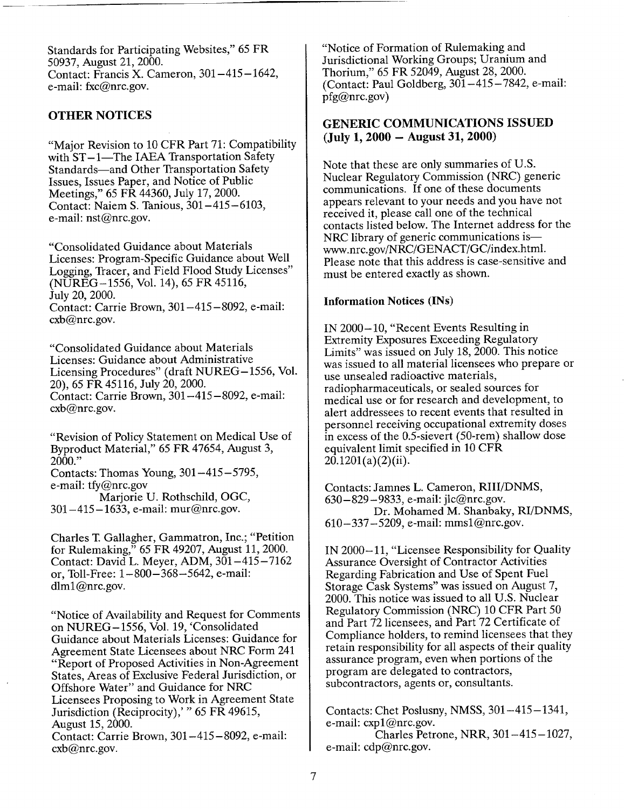Standards for Participating Websites," 65 FR 50937, August 21, 2000. Contact: Francis X. Cameron, 301-415-1642, e-mail: fxc@nrc.gov.

## OTHER **NOTICES**

"Major Revision to 10 CFR Part 71: Compatibility with  $ST-1$ —The IAEA Transportation Safety Standards-and Other Transportation Safety Issues, Issues Paper, and Notice of Public Meetings," 65 FR 44360, July 17, 2000. Contact: Naiem S. Tanious, 301-415-6103, e-mail: nst@nrc.gov.

"Consolidated Guidance about Materials Licenses: Program-Specific Guidance about Well Logging, Tracer, and Field Flood Study Licenses" (NUREG-1556, Vol. 14), 65 FR 45116, July 20, 2000. Contact: Carrie Brown, 301-415-8092, e-mail: cxb@nrc.gov.

"Consolidated Guidance about Materials Licenses: Guidance about Administrative Licensing Procedures" (draft NUREG-1556, Vol. 20), 65 FR 45116, July 20, 2000. Contact: Carrie Brown, 301-415-8092, e-mail: cxb@nrc.gov.

"Revision of Policy Statement on Medical Use of Byproduct Material," 65 FR 47654, August 3, 2000."

Contacts: Thomas Young, 301-415-5795, e-mail: tfy@nrc.gov

Marjorie U. Rothschild, OGC, 301-415-1633, e-mail: mur@nrc.gov.

Charles T. Gallagher, Gammatron, Inc.; "Petition for Rulemaking," 65 FR 49207, August 11, 2000. Contact: David L. Meyer, ADM, 301-415-7162 or, Toll-Free: 1-800-368-5642, e-mail: dlm1@nrc.gov.

"Notice of Availability and Request for Comments on NUREG-1556, Vol. 19, 'Consolidated Guidance about Materials Licenses: Guidance for Agreement State Licensees about NRC Form 241 "Report of Proposed Activities in Non-Agreement States, Areas of Exclusive Federal Jurisdiction, or Offshore Water" and Guidance for NRC Licensees Proposing to Work in Agreement State Jurisdiction (Reciprocity),' " 65 FR 49615, August 15, 2000. Contact: Carrie Brown, 301-415-8092, e-mail: cxb@nrc.gov.

"Notice of Formation of Rulemaking and Jurisdictional Working Groups; Uranium and Thorium," 65 FR 52049, August 28, 2000. (Contact: Paul Goldberg, 301-415-7842, e-mail: pfg@nrc.gov)

## **GENERIC COMMUNICATIONS ISSUED**  (July **1,** 2000 - August **31,** 2000)

Note that these are only summaries of U.S. Nuclear Regulatory Commission (NRC) generic communications. If one of these documents appears relevant to your needs and you have not received it, please call one of the technical contacts listed below. The Internet address for the NRC library of generic communications is www.nrc.gov/NRC/GENACT/GC/index.html. Please note that this address is case-sensitive and must be entered exactly as shown.

## Information Notices (INs)

IN 2000-10, "Recent Events Resulting in Extremity Exposures Exceeding Regulatory Limits" was issued on July 18, 2000. This notice was issued to all material licensees who prepare or use unsealed radioactive materials, radiopharmaceuticals, or sealed sources for medical use or for research and development, to alert addressees to recent events that resulted in personnel receiving occupational extremity doses in excess of the 0.5-sievert (50-rem) shallow dose equivalent limit specified in 10 CFR  $20.1201(a)(2)(ii)$ .

Contacts: Jamnes L. Cameron, RIII/DNMS, 630-829-9833, e-mail: jlc@nrc.gov. Dr. Mohamed M. Shanbaky, RI/DNMS, 610-337-5209, e-mail: mmsl@nrc.gov.

IN 2000-11, "Licensee Responsibility for Quality Assurance Oversight of Contractor Activities Regarding Fabrication and Use of Spent Fuel Storage Cask Systems" was issued on August 7, 2000. This notice was issued to all U.S. Nuclear Regulatory Commission (NRC) 10 CFR Part 50 and Part 72 licensees, and Part 72 Certificate of Compliance holders, to remind licensees that they retain responsibility for all aspects of their quality assurance program, even when portions of the program are delegated to contractors, subcontractors, agents or, consultants.

Contacts: Chet Poslusny, NMSS, 301-415-1341, e-mail: cxpl@nrc.gov.

Charles Petrone, NRR, 301-415-1027, e-mail: cdp@nrc.gov.